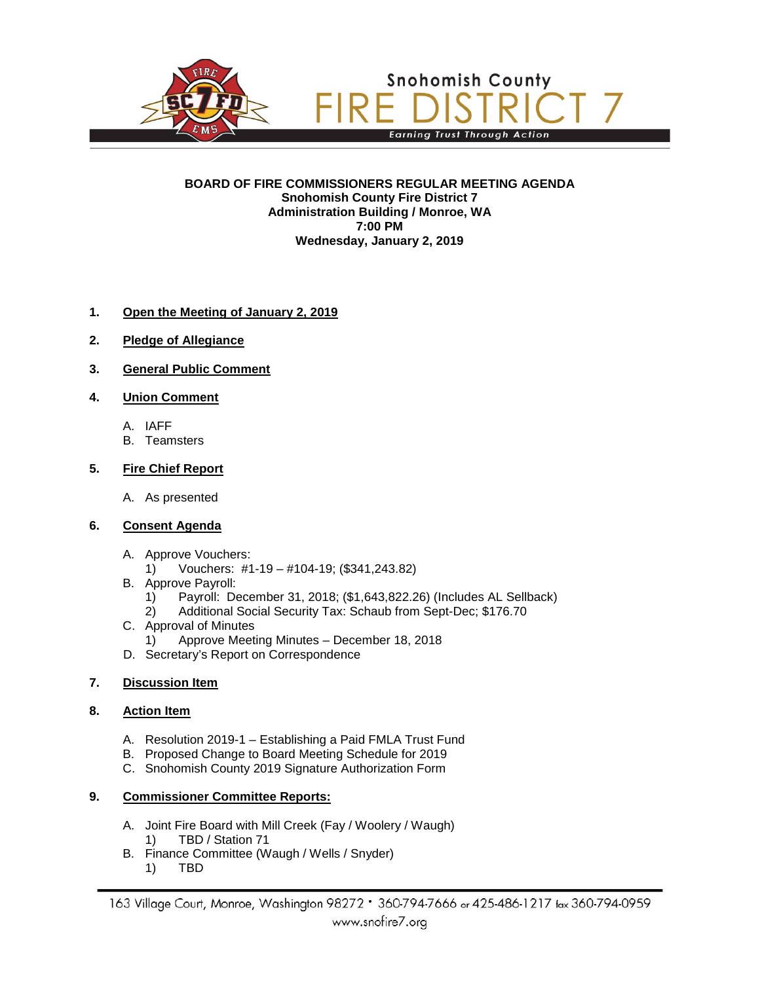

#### **BOARD OF FIRE COMMISSIONERS REGULAR MEETING AGENDA Snohomish County Fire District 7 Administration Building / Monroe, WA 7:00 PM Wednesday, January 2, 2019**

## **1. Open the Meeting of January 2, 2019**

- **2. Pledge of Allegiance**
- **3. General Public Comment**
- **4. Union Comment**
	- A. IAFF
	- B. Teamsters

### **5. Fire Chief Report**

- A. As presented
- **6. Consent Agenda**
	- A. Approve Vouchers:<br>1) Vouchers: #1
		- 1) Vouchers: #1-19 #104-19; (\$341,243.82)
	- B. Approve Payroll:
		- 1) Payroll: December 31, 2018; (\$1,643,822.26) (Includes AL Sellback)
		- 2) Additional Social Security Tax: Schaub from Sept-Dec; \$176.70
	- C. Approval of Minutes
		- 1) Approve Meeting Minutes December 18, 2018
	- D. Secretary's Report on Correspondence

## **7. Discussion Item**

### **8. Action Item**

- A. Resolution 2019-1 Establishing a Paid FMLA Trust Fund
- B. Proposed Change to Board Meeting Schedule for 2019
- C. Snohomish County 2019 Signature Authorization Form

## **9. Commissioner Committee Reports:**

- A. Joint Fire Board with Mill Creek (Fay / Woolery / Waugh) 1) TBD / Station 71
- B. Finance Committee (Waugh / Wells / Snyder)<br>1) TBD
	- 1) TBD